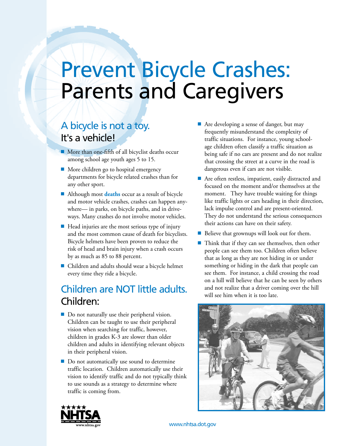# Prevent Bicycle Crashes: Parents and Caregivers

### A bicycle is not a toy. It's a vehicle!

- $\blacksquare$  More than one-fifth of all bicyclist deaths occur among school age youth ages 5 to 15.
- $\blacksquare$  More children go to hospital emergency departments for bicycle related crashes than for any other sport.
- Although most **deaths** occur as a result of bicycle and motor vehicle crashes, crashes can happen anywhere— in parks, on bicycle paths, and in driveways. Many crashes do not involve motor vehicles.
- $\blacksquare$  Head injuries are the most serious type of injury and the most common cause of death for bicyclists. Bicycle helmets have been proven to reduce the risk of head and brain injury when a crash occurs by as much as 85 to 88 percent.
- Children and adults should wear a bicycle helmet every time they ride a bicycle.

## Children are NOT little adults. Children:

- $\blacksquare$  Do not naturally use their peripheral vision. Children can be taught to use their peripheral vision when searching for traffic, however, children in grades K-3 are slower than older children and adults in identifying relevant objects in their peripheral vision.
- Do not automatically use sound to determine traffic location. Children automatically use their vision to identify traffic and do not typically think to use sounds as a strategy to determine where traffic is coming from.
- Are developing a sense of danger, but may frequently misunderstand the complexity of traffic situations. For instance, young schoolage children often classify a traffic situation as being safe if no cars are present and do not realize that crossing the street at a curve in the road is dangerous even if cars are not visible.
- $\blacksquare$  Are often restless, impatient, easily distracted and focused on the moment and/or themselves at the moment. They have trouble waiting for things like traffic lights or cars heading in their direction, lack impulse control and are present-oriented. They do not understand the serious consequences their actions can have on their safety.
- $\blacksquare$  Believe that grownups will look out for them.
- $\blacksquare$  Think that if they can see themselves, then other people can see them too. Children often believe that as long as they are not hiding in or under something or hiding in the dark that people can see them. For instance, a child crossing the road on a hill will believe that he can be seen by others and not realize that a driver coming over the hill will see him when it is too late.





www.nhtsa.dot.gov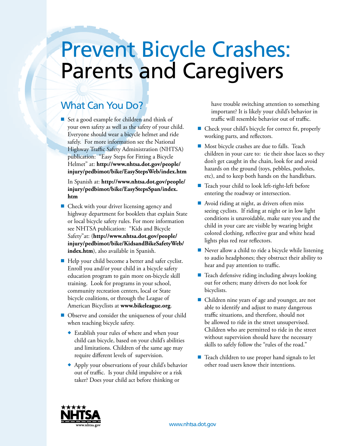# Prevent Bicycle Crashes: Parents and Caregivers

### What Can You Do?

■ Set a good example for children and think of your own safety as well as the safety of your child. Everyone should wear a bicycle helmet and ride safely. For more information see the National Highway Traffic Safety Administration (NHTSA) publication: "Easy Steps for Fitting a Bicycle Helmet" at: **http://www.nhtsa.dot.gov/people/ injury/pedbimot/bike/EasyStepsWeb/index.htm**

In Spanish at: **http://www.nhtsa.dot.gov/people/ injury/pedbimot/bike/EasyStepsSpan/index. htm**

- $\blacksquare$  Check with your driver licensing agency and highway department for booklets that explain State or local bicycle safety rules. For more information see NHTSA publication: "Kids and Bicycle Safety"at: (**http://www.nhtsa.dot.gov/people/ injury/pedbimot/bike/KidsandBikeSafetyWeb/ index.htm**), also available in Spanish.
- $\blacksquare$  Help your child become a better and safer cyclist. Enroll you and/or your child in a bicycle safety education program to gain more on-bicycle skill training. Look for programs in your school, community recreation centers, local or State bicycle coalitions, or through the League of American Bicyclists at **www.bikeleague.org**.
- Observe and consider the uniqueness of your child when teaching bicycle safety.
	- ◆ Establish your rules of where and when your child can bicycle, based on your child's abilities and limitations. Children of the same age may require different levels of supervision.
	- ◆ Apply your observations of your child's behavior out of traffic. Is your child impulsive or a risk taker? Does your child act before thinking or

have trouble switching attention to something important? It is likely your child's behavior in traffic will resemble behavior out of traffic.

- $\blacksquare$  Check your child's bicycle for correct fit, properly working parts, and reflectors.
- Most bicycle crashes are due to falls. Teach children in your care to: tie their shoe laces so they don't get caught in the chain, look for and avoid hazards on the ground (toys, pebbles, potholes, etc), and to keep both hands on the handlebars.
- Teach your child to look left-right-left before entering the roadway or intersection.
- $\blacksquare$  Avoid riding at night, as drivers often miss seeing cyclists. If riding at night or in low light conditions is unavoidable, make sure you and the child in your care are visible by wearing bright colored clothing, reflective gear and white head lights plus red rear reflectors.
- $\blacksquare$  Never allow a child to ride a bicycle while listening to audio headphones; they obstruct their ability to hear and pay attention to traffic.
- $\blacksquare$  Teach defensive riding including always looking out for others; many drivers do not look for bicyclists.
- $\blacksquare$  Children nine years of age and younger, are not able to identify and adjust to many dangerous traffic situations, and therefore, should not be allowed to ride in the street unsupervised. Children who are permitted to ride in the street without supervision should have the necessary skills to safely follow the "rules of the road."
- $\blacksquare$  Teach children to use proper hand signals to let other road users know their intentions.